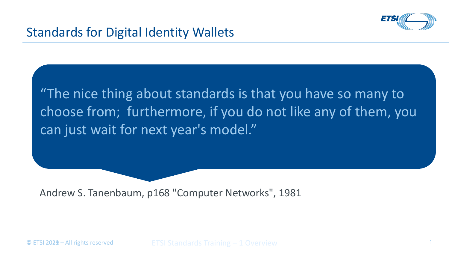

"The nice thing about standards is that you have so many to choose from; furthermore, if you do not like any of them, you can just wait for next year's model."

Andrew S. Tanenbaum, p168 "Computer Networks", 1981

© ETSI 2029 – All rights reserved TETSI Standards Training – 1 Overview 1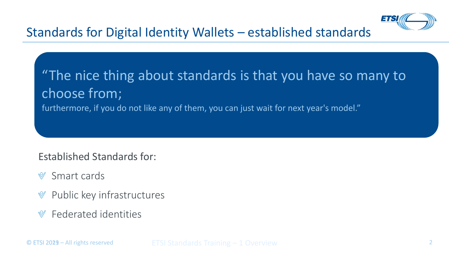

## "The nice thing about standards is that you have so many to choose from; furthermore, if you do not like any of them, you can just wait for next year's model."

Established Standards for:

- Smart cards  $\mathbb{V}$
- Public key infrastructures  $\mathbb V$
- Federated identities  $\mathbb{V}$